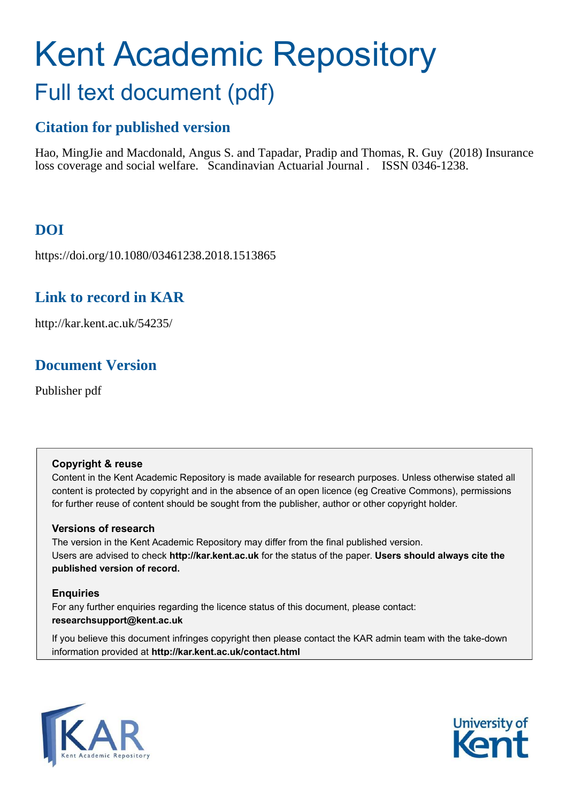# Kent Academic Repository Full text document (pdf)

## **Citation for published version**

Hao, MingJie and Macdonald, Angus S. and Tapadar, Pradip and Thomas, R. Guy (2018) Insurance loss coverage and social welfare. Scandinavian Actuarial Journal . ISSN 0346-1238.

# **DOI**

https://doi.org/10.1080/03461238.2018.1513865

## **Link to record in KAR**

http://kar.kent.ac.uk/54235/

## **Document Version**

Publisher pdf

### **Copyright & reuse**

Content in the Kent Academic Repository is made available for research purposes. Unless otherwise stated all content is protected by copyright and in the absence of an open licence (eg Creative Commons), permissions for further reuse of content should be sought from the publisher, author or other copyright holder.

### **Versions of research**

The version in the Kent Academic Repository may differ from the final published version. Users are advised to check **http://kar.kent.ac.uk** for the status of the paper. **Users should always cite the published version of record.**

### **Enquiries**

For any further enquiries regarding the licence status of this document, please contact: **researchsupport@kent.ac.uk**

If you believe this document infringes copyright then please contact the KAR admin team with the take-down information provided at **http://kar.kent.ac.uk/contact.html**



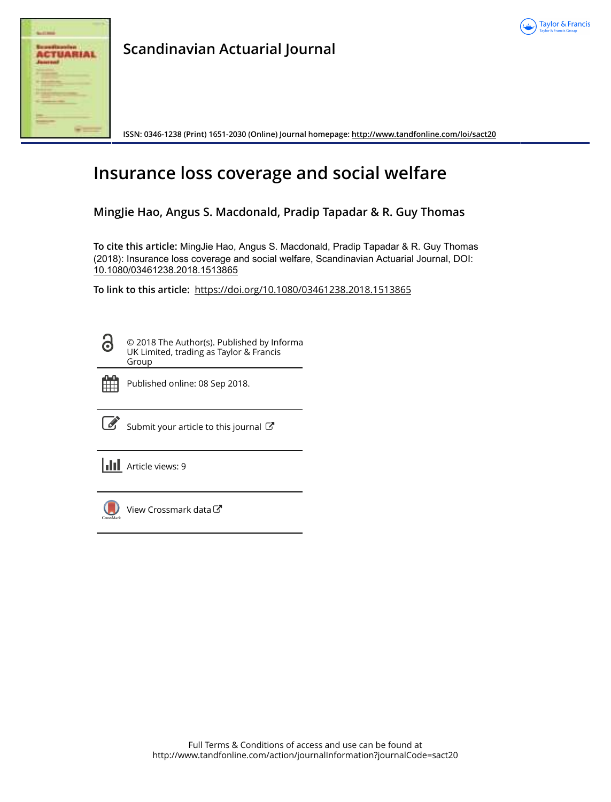<span id="page-1-1"></span>



# **Scandinavian Actuarial Journal**

**ISSN: 0346-1238 (Print) 1651-2030 (Online) Journal homepage:<http://www.tandfonline.com/loi/sact20>**

# <span id="page-1-0"></span>**Insurance loss coverage and social welfare**

**MingJie Hao, Angus S. Macdonald, Pradip Tapadar & R. Guy Thomas**

**To cite this article:** MingJie Hao, Angus S. Macdonald, Pradip Tapadar & R. Guy Thomas (2018): Insurance loss coverage and social welfare, Scandinavian Actuarial Journal, DOI: [10.1080/03461238.2018.1513865](http://www.tandfonline.com/action/showCitFormats?doi=10.1080/03461238.2018.1513865)

**To link to this article:** <https://doi.org/10.1080/03461238.2018.1513865>

3 © 2018 The Author(s). Published by Informa UK Limited, trading as Taylor & Francis Group



Published online: 08 Sep 2018.



 $\overrightarrow{S}$  [Submit your article to this journal](http://www.tandfonline.com/action/authorSubmission?journalCode=sact20&show=instructions)  $\overrightarrow{S}$ 

<span id="page-1-3"></span><span id="page-1-2"></span>**III** Article views: 9



[View Crossmark data](http://crossmark.crossref.org/dialog/?doi=10.1080/03461238.2018.1513865&domain=pdf&date_stamp=2018-09-08)<sup>C</sup>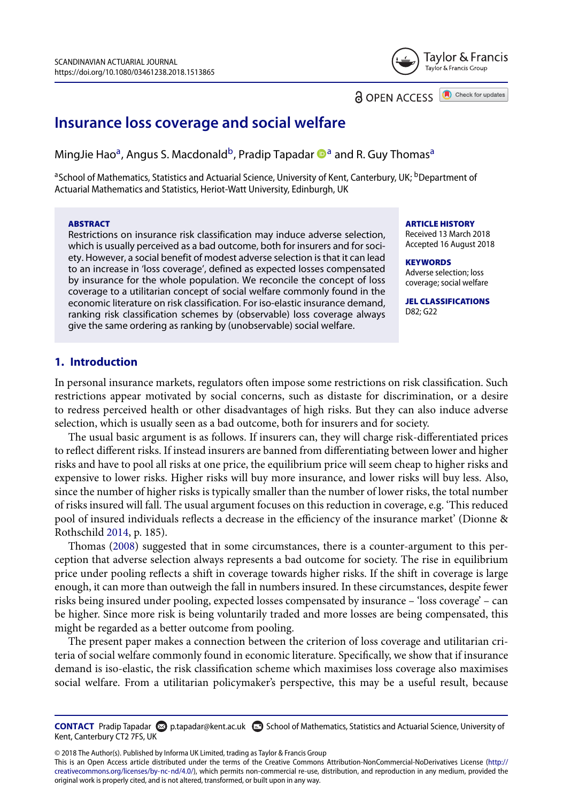

**a** OPEN ACCESS

Check for updates

### **Insurance loss coverage and social welfare**

MingJie H[a](#page-1-0)o<sup>a</sup>, Angus S. Macdonald<sup>[b](#page-1-1)</sup>, Pradip Tapadar **®**ª and R. Guy Thomas<sup>a</sup>

<span id="page-2-0"></span><sup>a</sup>School of Mathematics, Statistics and Actuarial Science, University of Kent, Canterbury, UK; <sup>b</sup>Department of Actuarial Mathematics and Statistics, Heriot-Watt University, Edinburgh, UK

#### **ARSTRACT**

Restrictions on insurance risk classification may induce adverse selection, which is usually perceived as a bad outcome, both for insurers and for society. However, a social benefit of modest adverse selection is that it can lead to an increase in 'loss coverage', defined as expected losses compensated by insurance for the whole population. We reconcile the concept of loss coverage to a utilitarian concept of social welfare commonly found in the economic literature on risk classification. For iso-elastic insurance demand, ranking risk classification schemes by (observable) loss coverage always give the same ordering as ranking by (unobservable) social welfare.

#### ARTICLE HISTORY

Received 13 March 2018 Accepted 16 August 2018

#### **KEYWORDS** Adverse selection; loss coverage; social welfare

JEL CLASSIFICATIONS D82; G22

#### **1. Introduction**

In personal insurance markets, regulators often impose some restrictions on risk classification. Such restrictions appear motivated by social concerns, such as distaste for discrimination, or a desire to redress perceived health or other disadvantages of high risks. But they can also induce adverse selection, which is usually seen as a bad outcome, both for insurers and for society.

The usual basic argument is as follows. If insurers can, they will charge risk-diferentiated prices to relect diferent risks. If instead insurers are banned from diferentiating between lower and higher risks and have to pool all risks at one price, the equilibrium price will seem cheap to higher risks and expensive to lower risks. Higher risks will buy more insurance, and lower risks will buy less. Also, since the number of higher risks is typically smaller than the number of lower risks, the total number of risks insured will fall. The usual argument focuses on this reduction in coverage, e.g. 'This reduced pool of insured individuals reflects a decrease in the efficiency of the insurance market' (Dionne & Rothschild [2014,](#page-14-0) p. 185).

Thomas [\(2008\)](#page-14-1) suggested that in some circumstances, there is a counter-argument to this perception that adverse selection always represents a bad outcome for society. The rise in equilibrium price under pooling relects a shift in coverage towards higher risks. If the shift in coverage is large enough, it can more than outweigh the fall in numbers insured. In these circumstances, despite fewer risks being insured under pooling, expected losses compensated by insurance – 'loss coverage' – can be higher. Since more risk is being voluntarily traded and more losses are being compensated, this might be regarded as a better outcome from pooling.

The present paper makes a connection between the criterion of loss coverage and utilitarian criteria of social welfare commonly found in economic literature. Specifically, we show that if insurance demand is iso-elastic, the risk classiication scheme which maximises loss coverage also maximises social welfare. From a utilitarian policymaker's perspective, this may be a useful result, because

<span id="page-2-1"></span>CONTACT Pradip Tapadar **۞** [p.tapadar@kent.ac.uk](mailto:p.tapadar@kent.ac.uk) **■** School of Mathematics, Statistics and Actuarial Science, University of Kent, Canterbury CT2 7FS, UK

© 2018 The Author(s). Published by Informa UK Limited, trading as Taylor & Francis Group

This is an Open Access article distributed under the terms of the Creative Commons Attribution-NonCommercial-NoDerivatives License [\(http://](http://creativecommons.org/licenses/by-nc-nd/4.0/) [creativecommons.org/licenses/by-nc-nd/4.0/\)](http://creativecommons.org/licenses/by-nc-nd/4.0/), which permits non-commercial re-use, distribution, and reproduction in any medium, provided the original work is properly cited, and is not altered, transformed, or built upon in any way.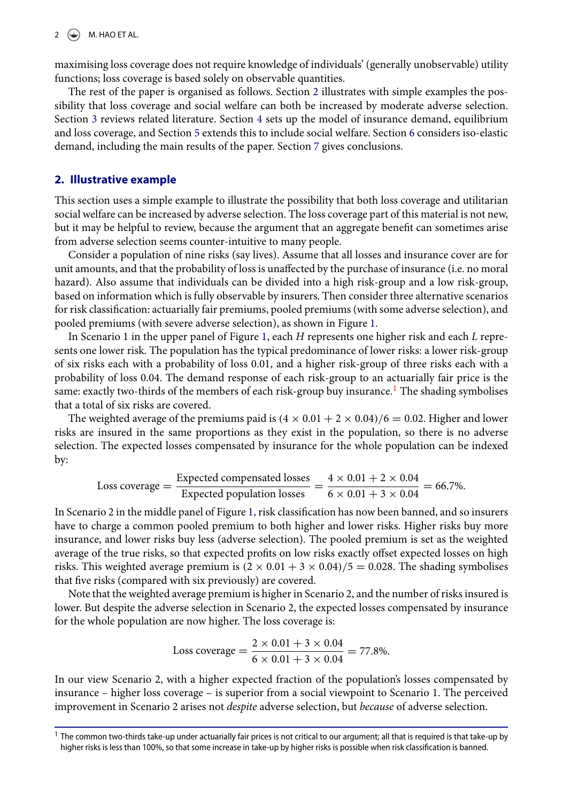maximising loss coverage does not require knowledge of individuals' (generally unobservable) utility functions; loss coverage is based solely on observable quantities.

The rest of the paper is organised as follows. Section [2](#page-2-0) illustrates with simple examples the possibility that loss coverage and social welfare can both be increased by moderate adverse selection. Section [3](#page-4-0) reviews related literature. Section [4](#page-5-0) sets up the model of insurance demand, equilibrium and loss coverage, and Section [5](#page-8-0) extends this to include social welfare. Section [6](#page-9-0) considers iso-elastic demand, including the main results of the paper. Section [7](#page-13-0) gives conclusions.

#### **2. Illustrative example**

This section uses a simple example to illustrate the possibility that both loss coverage and utilitarian social welfare can be increased by adverse selection. The loss coverage part of this material is not new, but it may be helpful to review, because the argument that an aggregate benefit can sometimes arise from adverse selection seems counter-intuitive to many people.

Consider a population of nine risks (say lives). Assume that all losses and insurance cover are for unit amounts, and that the probability of loss is unafected by the purchase of insurance (i.e. no moral hazard). Also assume that individuals can be divided into a high risk-group and a low risk-group, based on information which is fully observable by insurers. Then consider three alternative scenarios for risk classiication: actuarially fair premiums, pooled premiums (with some adverse selection), and pooled premiums (with severe adverse selection), as shown in Figure [1.](#page-3-0)

In Scenario 1 in the upper panel of Figure [1,](#page-3-0) each H represents one higher risk and each L represents one lower risk. The population has the typical predominance of lower risks: a lower risk-group of six risks each with a probability of loss 0.01, and a higher risk-group of three risks each with a probability of loss 0.04. The demand response of each risk-group to an actuarially fair price is the same: exactly two-thirds of the members of each risk-group buy insurance.<sup>[1](#page-2-1)</sup> The shading symbolises that a total of six risks are covered.

The weighted average of the premiums paid is  $(4 \times 0.01 + 2 \times 0.04)/6 = 0.02$ . Higher and lower risks are insured in the same proportions as they exist in the population, so there is no adverse selection. The expected losses compensated by insurance for the whole population can be indexed by:

<span id="page-3-0"></span>Loss coverage = 
$$
\frac{\text{Expected compensated losses}}{\text{Expected population losses}} = \frac{4 \times 0.01 + 2 \times 0.04}{6 \times 0.01 + 3 \times 0.04} = 66.7\%.
$$

In Scenario 2 in the middle panel of Figure [1,](#page-3-0) risk classification has now been banned, and so insurers have to charge a common pooled premium to both higher and lower risks. Higher risks buy more insurance, and lower risks buy less (adverse selection). The pooled premium is set as the weighted average of the true risks, so that expected profits on low risks exactly offset expected losses on high risks. This weighted average premium is  $(2 \times 0.01 + 3 \times 0.04)/5 = 0.028$ . The shading symbolises that five risks (compared with six previously) are covered.

Note that the weighted average premium is higher in Scenario 2, and the number of risks insured is lower. But despite the adverse selection in Scenario 2, the expected losses compensated by insurance for the whole population are now higher. The loss coverage is:

Loss coverage = 
$$
\frac{2 \times 0.01 + 3 \times 0.04}{6 \times 0.01 + 3 \times 0.04} = 77.8\%.
$$

In our view Scenario 2, with a higher expected fraction of the population's losses compensated by insurance – higher loss coverage – is superior from a social viewpoint to Scenario 1. The perceived improvement in Scenario 2 arises not *despite* adverse selection, but *because* of adverse selection.

<sup>&</sup>lt;sup>1</sup> The common two-thirds take-up under actuarially fair prices is not critical to our argument; all that is required is that take-up by higher risks is less than 100%, so that some increase in take-up by higher risks is possible when risk classification is banned.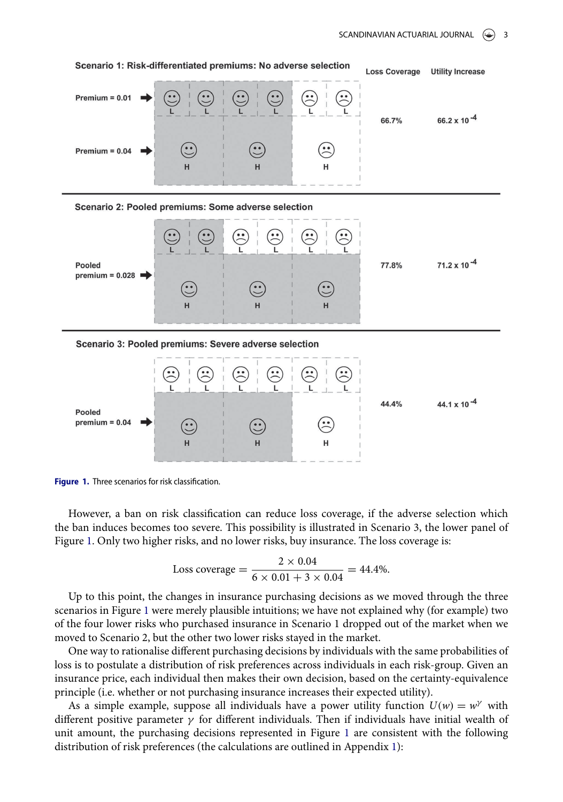<span id="page-4-8"></span>

<span id="page-4-11"></span>Scenario 3: Pooled premiums: Severe adverse selection

<span id="page-4-0"></span>

**Figure 1.** Three scenarios for risk classification.

However, a ban on risk classiication can reduce loss coverage, if the adverse selection which the ban induces becomes too severe. This possibility is illustrated in Scenario 3, the lower panel of Figure [1.](#page-3-0) Only two higher risks, and no lower risks, buy insurance. The loss coverage is:

<span id="page-4-13"></span><span id="page-4-12"></span><span id="page-4-10"></span><span id="page-4-9"></span><span id="page-4-7"></span><span id="page-4-6"></span><span id="page-4-5"></span><span id="page-4-3"></span>Loss coverage = 
$$
\frac{2 \times 0.04}{6 \times 0.01 + 3 \times 0.04} = 44.4\%.
$$

Up to this point, the changes in insurance purchasing decisions as we moved through the three scenarios in Figure [1](#page-3-0) were merely plausible intuitions; we have not explained why (for example) two of the four lower risks who purchased insurance in Scenario 1 dropped out of the market when we moved to Scenario 2, but the other two lower risks stayed in the market.

<span id="page-4-4"></span><span id="page-4-1"></span>One way to rationalise diferent purchasing decisions by individuals with the same probabilities of loss is to postulate a distribution of risk preferences across individuals in each risk-group. Given an insurance price, each individual then makes their own decision, based on the certainty-equivalence principle (i.e. whether or not purchasing insurance increases their expected utility).

<span id="page-4-2"></span>As a simple example, suppose all individuals have a power utility function  $U(w) = w^{\gamma}$  with different positive parameter  $\gamma$  for different individuals. Then if individuals have initial wealth of unit amount, the purchasing decisions represented in Figure [1](#page-3-0) are consistent with the following distribution of risk preferences (the calculations are outlined in Appendix [1\)](#page-15-0):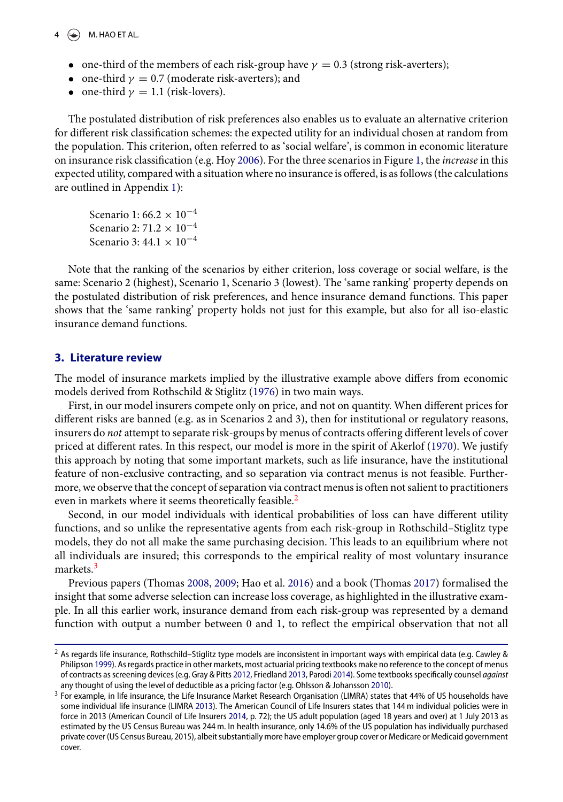#### $\left(\begin{matrix} \cdot \end{matrix}\right)$  M. HAO ET AL.

- one-third of the members of each risk-group have  $\gamma = 0.3$  (strong risk-averters);
- one-third  $\gamma = 0.7$  (moderate risk-averters); and
- one-third  $\gamma = 1.1$  (risk-lovers).

The postulated distribution of risk preferences also enables us to evaluate an alternative criterion for diferent risk classiication schemes: the expected utility for an individual chosen at random from the population. This criterion, often referred to as 'social welfare', is common in economic literature on insurance risk classification (e.g. Hoy [2006\)](#page-14-2). For the three scenarios in Figure [1,](#page-3-0) the *increase* in this expected utility, compared with a situation where no insurance is ofered, is as follows (the calculations are outlined in Appendix [1\)](#page-15-0):

<span id="page-5-3"></span><span id="page-5-2"></span>Scenario 1: 66.2 × 10<sup>-4</sup> Scenario 2: 71.2 × 10<sup>-4</sup> Scenario 3: 44.1  $\times$  10<sup>-4</sup>

<span id="page-5-1"></span><span id="page-5-0"></span>Note that the ranking of the scenarios by either criterion, loss coverage or social welfare, is the same: Scenario 2 (highest), Scenario 1, Scenario 3 (lowest). The 'same ranking' property depends on the postulated distribution of risk preferences, and hence insurance demand functions. This paper shows that the 'same ranking' property holds not just for this example, but also for all iso-elastic insurance demand functions.

#### **3. Literature review**

The model of insurance markets implied by the illustrative example above difers from economic models derived from Rothschild & Stiglitz [\(1976\)](#page-14-3) in two main ways.

First, in our model insurers compete only on price, and not on quantity. When diferent prices for diferent risks are banned (e.g. as in Scenarios 2 and 3), then for institutional or regulatory reasons, insurers do *not* attempt to separate risk-groups by menus of contracts offering different levels of cover priced at diferent rates. In this respect, our model is more in the spirit of Akerlof [\(1970\)](#page-14-4). We justify this approach by noting that some important markets, such as life insurance, have the institutional feature of non-exclusive contracting, and so separation via contract menus is not feasible. Furthermore, we observe that the concept of separation via contract menus is often not salient to practitioners even in markets where it seems theoretically feasible.<sup>[2](#page-4-1)</sup>

Second, in our model individuals with identical probabilities of loss can have diferent utility functions, and so unlike the representative agents from each risk-group in Rothschild–Stiglitz type models, they do not all make the same purchasing decision. This leads to an equilibrium where not all individuals are insured; this corresponds to the empirical reality of most voluntary insurance markets.<sup>[3](#page-4-2)</sup>

Previous papers (Thomas [2008,](#page-14-1) [2009;](#page-14-5) Hao et al. [2016\)](#page-14-6) and a book (Thomas [2017\)](#page-14-7) formalised the insight that some adverse selection can increase loss coverage, as highlighted in the illustrative example. In all this earlier work, insurance demand from each risk-group was represented by a demand function with output a number between 0 and 1, to relect the empirical observation that not all

 $^2$  As regards life insurance, Rothschild–Stiglitz type models are inconsistent in important ways with empirical data (e.g. Cawley & Philipson [1999\)](#page-14-8). As regards practice in other markets, most actuarial pricing textbooks make no reference to the concept of menus of contracts as screening devices (e.g. Gray & Pitts [2012,](#page-14-9) Friedland [2013,](#page-14-10) Parodi [2014\)](#page-14-11). Some textbooks specifically counsel against any thought of using the level of deductible as a pricing factor (e.g. Ohlsson & Johansson [2010\)](#page-14-12).

<sup>&</sup>lt;sup>3</sup> For example, in life insurance, the Life Insurance Market Research Organisation (LIMRA) states that 44% of US households have some individual life insurance (LIMRA [2013\)](#page-14-13). The American Council of Life Insurers states that 144 m individual policies were in force in 2013 (American Council of Life Insurers [2014,](#page-14-14) p. 72); the US adult population (aged 18 years and over) at 1 July 2013 as estimated by the US Census Bureau was 244 m. In health insurance, only 14.6% of the US population has individually purchased private cover (US Census Bureau, 2015), albeit substantially more have employer group cover or Medicare or Medicaid government cover.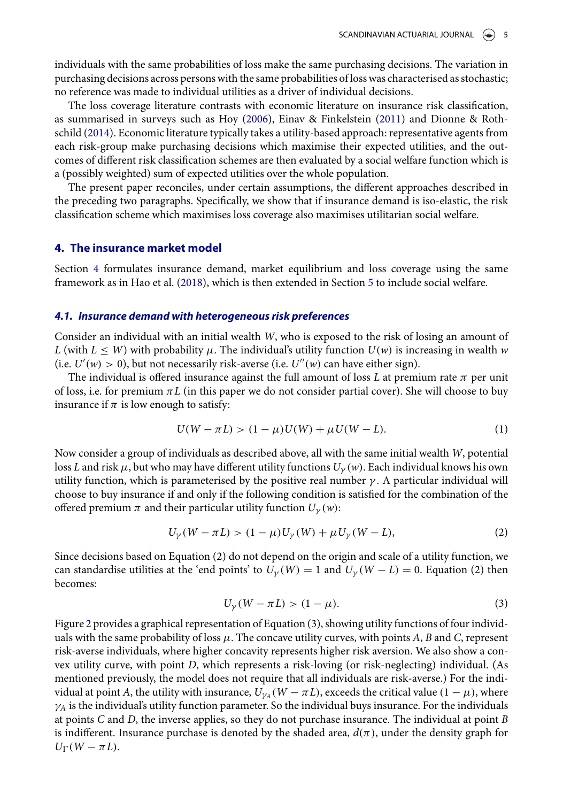individuals with the same probabilities of loss make the same purchasing decisions. The variation in purchasing decisions across persons with the same probabilities of loss was characterised as stochastic; no reference was made to individual utilities as a driver of individual decisions.

The loss coverage literature contrasts with economic literature on insurance risk classiication, as summarised in surveys such as Hoy [\(2006\)](#page-14-2), Einav & Finkelstein [\(2011\)](#page-14-15) and Dionne & Rothschild [\(2014\)](#page-14-0). Economic literature typically takes a utility-based approach: representative agents from each risk-group make purchasing decisions which maximise their expected utilities, and the outcomes of diferent risk classiication schemes are then evaluated by a social welfare function which is a (possibly weighted) sum of expected utilities over the whole population.

The present paper reconciles, under certain assumptions, the diferent approaches described in the preceding two paragraphs. Speciically, we show that if insurance demand is iso-elastic, the risk classiication scheme which maximises loss coverage also maximises utilitarian social welfare.

#### **4. The insurance market model**

<span id="page-6-0"></span>Section [4](#page-5-0) formulates insurance demand, market equilibrium and loss coverage using the same framework as in Hao et al. [\(2018\)](#page-14-16), which is then extended in Section [5](#page-8-0) to include social welfare.

#### **4.1. Insurance demand with heterogeneous risk preferences**

Consider an individual with an initial wealth W, who is exposed to the risk of losing an amount of L (with  $L \leq W$ ) with probability  $\mu$ . The individual's utility function  $U(w)$  is increasing in wealth w (i.e.  $U'(w) > 0$ ), but not necessarily risk-averse (i.e.  $U''(w)$  can have either sign).

The individual is offered insurance against the full amount of loss L at premium rate  $\pi$  per unit of loss, i.e. for premium  $\pi L$  (in this paper we do not consider partial cover). She will choose to buy insurance if  $\pi$  is low enough to satisfy:

$$
U(W - \pi L) > (1 - \mu)U(W) + \mu U(W - L).
$$
 (1)

Now consider a group of individuals as described above, all with the same initial wealth W, potential loss L and risk  $\mu$ , but who may have different utility functions  $U_{\nu}(\omega)$ . Each individual knows his own utility function, which is parameterised by the positive real number  $\gamma$ . A particular individual will choose to buy insurance if and only if the following condition is satisied for the combination of the offered premium  $\pi$  and their particular utility function  $U_{\gamma}(w)$ :

$$
U_{\gamma}(W - \pi L) > (1 - \mu)U_{\gamma}(W) + \mu U_{\gamma}(W - L),
$$
\n(2)

Since decisions based on Equation (2) do not depend on the origin and scale of a utility function, we can standardise utilities at the 'end points' to  $U_{\gamma}(W) = 1$  and  $U_{\gamma}(W - L) = 0$ . Equation (2) then becomes:

$$
U_{\gamma}(W - \pi L) > (1 - \mu). \tag{3}
$$

<span id="page-6-2"></span><span id="page-6-1"></span>Figure [2](#page-6-0) provides a graphical representation of Equation (3), showing utility functions of four individuals with the same probability of loss  $\mu$ . The concave utility curves, with points A, B and C, represent risk-averse individuals, where higher concavity represents higher risk aversion. We also show a convex utility curve, with point D, which represents a risk-loving (or risk-neglecting) individual. (As mentioned previously, the model does not require that all individuals are risk-averse.) For the individual at point A, the utility with insurance,  $U_{\gamma_A}(W-\pi L)$ , exceeds the critical value  $(1-\mu)$ , where  $\gamma_A$  is the individual's utility function parameter. So the individual buys insurance. For the individuals at points  $C$  and  $D$ , the inverse applies, so they do not purchase insurance. The individual at point  $B$ is indifferent. Insurance purchase is denoted by the shaded area,  $d(\pi)$ , under the density graph for  $U_{\Gamma}(W - \pi L).$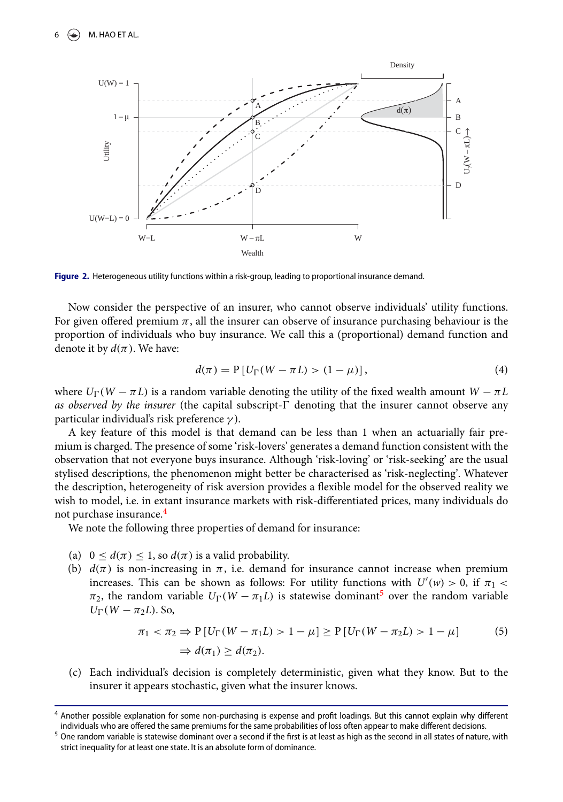

Figure 2. Heterogeneous utility functions within a risk-group, leading to proportional insurance demand.

Now consider the perspective of an insurer, who cannot observe individuals' utility functions. For given offered premium  $\pi$ , all the insurer can observe of insurance purchasing behaviour is the proportion of individuals who buy insurance. We call this a (proportional) demand function and denote it by  $d(\pi)$ . We have:

$$
d(\pi) = P[U_{\Gamma}(W - \pi L) > (1 - \mu)], \qquad (4)
$$

where  $U_{\Gamma}(W - \pi L)$  is a random variable denoting the utility of the fixed wealth amount  $W - \pi L$ as observed by the insurer (the capital subscript- $\Gamma$  denoting that the insurer cannot observe any particular individual's risk preference  $\nu$ ).

A key feature of this model is that demand can be less than 1 when an actuarially fair premium is charged. The presence of some 'risk-lovers' generates a demand function consistent with the observation that not everyone buys insurance. Although 'risk-loving' or 'risk-seeking' are the usual stylised descriptions, the phenomenon might better be characterised as 'risk-neglecting'. Whatever the description, heterogeneity of risk aversion provides a flexible model for the observed reality we wish to model, i.e. in extant insurance markets with risk-diferentiated prices, many individuals do not purchase insurance.<sup>[4](#page-6-1)</sup>

We note the following three properties of demand for insurance:

- (a)  $0 < d(\pi) < 1$ , so  $d(\pi)$  is a valid probability.
- (b)  $d(\pi)$  is non-increasing in  $\pi$ , i.e. demand for insurance cannot increase when premium increases. This can be shown as follows: For utility functions with  $U'(w) > 0$ , if  $\pi_1$  <  $\pi_2$ , the random variable  $U_{\Gamma}(W - \pi_1 L)$  is statewise dominant<sup>[5](#page-6-2)</sup> over the random variable  $U_\Gamma(W - \pi_2L)$ . So,

$$
\pi_1 < \pi_2 \Rightarrow P[U_{\Gamma}(W - \pi_1 L) > 1 - \mu] \ge P[U_{\Gamma}(W - \pi_2 L) > 1 - \mu] \tag{5}
$$
\n
$$
\Rightarrow d(\pi_1) \ge d(\pi_2).
$$

(c) Each individual's decision is completely deterministic, given what they know. But to the insurer it appears stochastic, given what the insurer knows.

<sup>4</sup> Another possible explanation for some non-purchasing is expense and profit loadings. But this cannot explain why different individuals who are offered the same premiums for the same probabilities of loss often appear to make different decisions.

 $5$  One random variable is statewise dominant over a second if the first is at least as high as the second in all states of nature, with strict inequality for at least one state. It is an absolute form of dominance.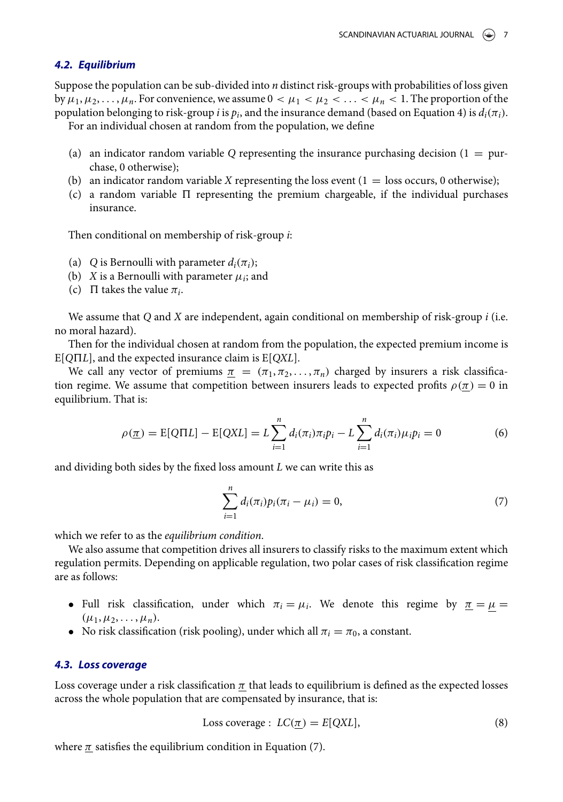#### **4.2. Equilibrium**

Suppose the population can be sub-divided into *n* distinct risk-groups with probabilities of loss given by  $\mu_1, \mu_2, \ldots, \mu_n$ . For convenience, we assume  $0 < \mu_1 < \mu_2 < \ldots < \mu_n < 1$ . The proportion of the population belonging to risk-group  $i$  is  $p_i$ , and the insurance demand (based on Equation 4) is  $d_i(\pi_i)$ .

For an individual chosen at random from the population, we define

- (a) an indicator random variable Q representing the insurance purchasing decision ( $1 =$  purchase, 0 otherwise);
- (b) an indicator random variable X representing the loss event  $(1 = \text{loss occurs}, 0 \text{ otherwise})$ ;
- <span id="page-8-0"></span>(c) a random variable  $\Pi$  representing the premium chargeable, if the individual purchases insurance.

Then conditional on membership of risk-group i:

- <span id="page-8-2"></span>(a) Q is Bernoulli with parameter  $d_i(\pi_i)$ ;
- (b) *X* is a Bernoulli with parameter  $\mu_i$ ; and
- (c)  $\Pi$  takes the value  $\pi_i$ .

We assume that  $Q$  and  $X$  are independent, again conditional on membership of risk-group  $i$  (i.e. no moral hazard).

Then for the individual chosen at random from the population, the expected premium income is  $E[Q\Pi L]$ , and the expected insurance claim is  $E[QXL]$ .

We call any vector of premiums  $\pi = (\pi_1, \pi_2, \dots, \pi_n)$  charged by insurers a risk classification regime. We assume that competition between insurers leads to expected profits  $\rho(\pi) = 0$  in equilibrium. That is:

$$
\rho(\underline{\pi}) = E[Q\Pi L] - E[QXL] = L \sum_{i=1}^{n} d_i(\pi_i)\pi_i p_i - L \sum_{i=1}^{n} d_i(\pi_i)\mu_i p_i = 0
$$
\n(6)

and dividing both sides by the fixed loss amount  $L$  we can write this as

<span id="page-8-1"></span>
$$
\sum_{i=1}^{n} d_i(\pi_i) p_i(\pi_i - \mu_i) = 0,
$$
\n(7)

<span id="page-8-3"></span>which we refer to as the *equilibrium condition*.

We also assume that competition drives all insurers to classify risks to the maximum extent which regulation permits. Depending on applicable regulation, two polar cases of risk classiication regime are as follows:

- Full risk classification, under which  $\pi_i = \mu_i$ . We denote this regime by  $\pi = \mu =$  $(\mu_1, \mu_2, \ldots, \mu_n).$
- No risk classification (risk pooling), under which all  $\pi_i = \pi_0$ , a constant.

#### **4.3. Loss coverage**

Loss coverage under a risk classification  $\pi$  that leads to equilibrium is defined as the expected losses across the whole population that are compensated by insurance, that is:

Loss coverage: 
$$
LC(\pi) = E[QXL]
$$
, (8)

where  $\pi$  satisfies the equilibrium condition in Equation (7).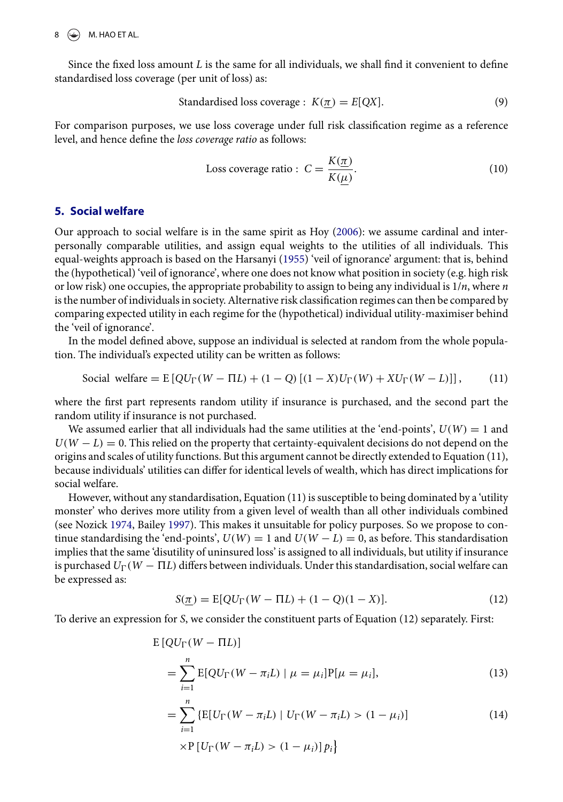$8 \quad \circledast$  M. HAO ET AL.

Since the fixed loss amount  $L$  is the same for all individuals, we shall find it convenient to define standardised loss coverage (per unit of loss) as:

Standardised loss coverage : 
$$
K(\pi) = E[QX]
$$
. (9)

For comparison purposes, we use loss coverage under full risk classification regime as a reference level, and hence define the loss coverage ratio as follows:

Loss coverage ratio : 
$$
C = \frac{K(\pi)}{K(\mu)}
$$
. (10)

#### **5. Social welfare**

Our approach to social welfare is in the same spirit as Hoy [\(2006\)](#page-14-2): we assume cardinal and interpersonally comparable utilities, and assign equal weights to the utilities of all individuals. This equal-weights approach is based on the Harsanyi [\(1955\)](#page-14-17) 'veil of ignorance' argument: that is, behind the (hypothetical) 'veil of ignorance', where one does not know what position in society (e.g. high risk or low risk) one occupies, the appropriate probability to assign to being any individual is  $1/n$ , where n is the number of individuals in society. Alternative risk classification regimes can then be compared by comparing expected utility in each regime for the (hypothetical) individual utility-maximiser behind the 'veil of ignorance'.

In the model defined above, suppose an individual is selected at random from the whole population. The individual's expected utility can be written as follows:

$$
\text{Social welfare} = E\left[QU_{\Gamma}(W - \Pi L) + (1 - Q)\left[(1 - X)U_{\Gamma}(W) + XU_{\Gamma}(W - L)\right]\right],\tag{11}
$$

where the first part represents random utility if insurance is purchased, and the second part the random utility if insurance is not purchased.

We assumed earlier that all individuals had the same utilities at the 'end-points',  $U(W) = 1$  and  $U(W - L) = 0$ . This relied on the property that certainty-equivalent decisions do not depend on the origins and scales of utility functions. But this argument cannot be directly extended to Equation (11), because individuals' utilities can difer for identical levels of wealth, which has direct implications for social welfare.

<span id="page-9-0"></span>However, without any standardisation, Equation (11) is susceptible to being dominated by a 'utility monster' who derives more utility from a given level of wealth than all other individuals combined (see Nozick [1974,](#page-14-18) Bailey [1997\)](#page-14-19). This makes it unsuitable for policy purposes. So we propose to continue standardising the 'end-points',  $U(W) = 1$  and  $U(W - L) = 0$ , as before. This standardisation implies that the same 'disutility of uninsured loss' is assigned to all individuals, but utility if insurance is purchased  $U_{\Gamma}(W - \Pi L)$  differs between individuals. Under this standardisation, social welfare can be expressed as:

$$
S(\underline{\pi}) = E[QU_{\Gamma}(W - \Pi L) + (1 - Q)(1 - X)].
$$
\n(12)

To derive an expression for S, we consider the constituent parts of Equation (12) separately. First:

$$
E\left[QU_{\Gamma}(W - \Pi L)\right]
$$
  
= 
$$
\sum_{i=1}^{n} E[QU_{\Gamma}(W - \pi_i L) | \mu = \mu_i]P[\mu = \mu_i],
$$
 (13)

<span id="page-9-1"></span>
$$
= \sum_{i=1}^{n} \{ E[U_{\Gamma}(W - \pi_i L) | U_{\Gamma}(W - \pi_i L) > (1 - \mu_i) ]
$$
 (14)

$$
\times \mathbf{P} \left[ U_{\Gamma} (W - \pi_i L) > (1 - \mu_i) \right] p_i
$$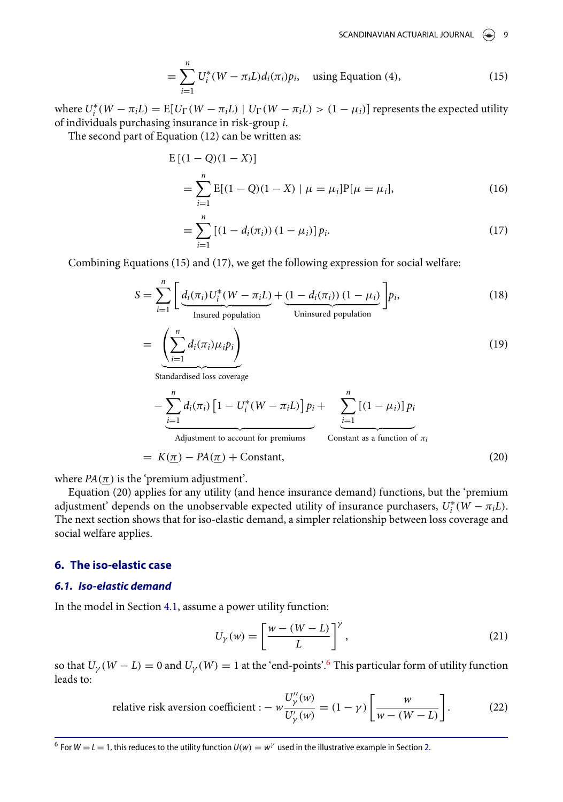$$
= \sum_{i=1}^{n} U_i^*(W - \pi_i L) d_i(\pi_i) p_i, \quad \text{using Equation (4),} \tag{15}
$$

where  $U_i^*(W - \pi_i L) = E[U_\Gamma(W - \pi_i L) | U_\Gamma(W - \pi_i L) > (1 - \mu_i)]$  represents the expected utility of individuals purchasing insurance in risk-group i.

The second part of Equation (12) can be written as:

$$
E [(1 - Q)(1 - X)]
$$
  
= 
$$
\sum_{i=1}^{n} E[(1 - Q)(1 - X) | \mu = \mu_i]P[\mu = \mu_i],
$$
 (16)

$$
= \sum_{i=1}^{n} \left[ (1 - d_i(\pi_i)) (1 - \mu_i) \right] p_i.
$$
 (17)

Combining Equations (15) and (17), we get the following expression for social welfare:

$$
S = \sum_{i=1}^{n} \left[ \underbrace{d_i(\pi_i) U_i^*(W - \pi_i L)}_{\text{Insured population}} + \underbrace{(1 - d_i(\pi_i)) (1 - \mu_i)}_{\text{Uninsured population}} \right] p_i,
$$
\n(18)

$$
= \underbrace{\left(\sum_{i=1}^{n} d_i(\pi_i)\mu_i p_i\right)}_{\tag{19}}
$$

Standardised loss coverage

$$
-\underbrace{\sum_{i=1}^{n} d_i(\pi_i) \left[1 - U_i^*(W - \pi_i L)\right] p_i}_{\text{Adjustment to account for premiums}} + \underbrace{\sum_{i=1}^{n} \left[(1 - \mu_i)\right] p_i}_{\text{Constant as a function of } \pi_i}
$$

$$
= K(\underline{\pi}) - PA(\underline{\pi}) + \text{Constant},\tag{20}
$$

where  $PA(\pi)$  is the 'premium adjustment'.

Equation (20) applies for any utility (and hence insurance demand) functions, but the 'premium adjustment' depends on the unobservable expected utility of insurance purchasers,  $U_i^*(W - \pi_i L)$ . The next section shows that for iso-elastic demand, a simpler relationship between loss coverage and social welfare applies.

#### **6. The iso-elastic case**

#### **6.1. Iso-elastic demand**

In the model in Section [4.1,](#page-5-1) assume a power utility function:

$$
U_{\gamma}(w) = \left[\frac{w - (W - L)}{L}\right]^{\gamma},\tag{21}
$$

so that  $U_{\gamma}(W - L) = 0$  and  $U_{\gamma}(W) = 1$  at the 'end-points'.<sup>[6](#page-9-1)</sup> This particular form of utility function leads to:

<span id="page-10-1"></span>relative risk aversion coefficient: 
$$
-w\frac{U''_y(w)}{U'_y(w)} = (1 - \gamma) \left[ \frac{w}{w - (W - L)} \right].
$$
 (22)

<span id="page-10-0"></span><sup>6</sup> For  $W = L = 1$ , this reduces to the utility function  $U(w) = w^{\gamma}$  used in the illustrative example in Section [2.](#page-2-0)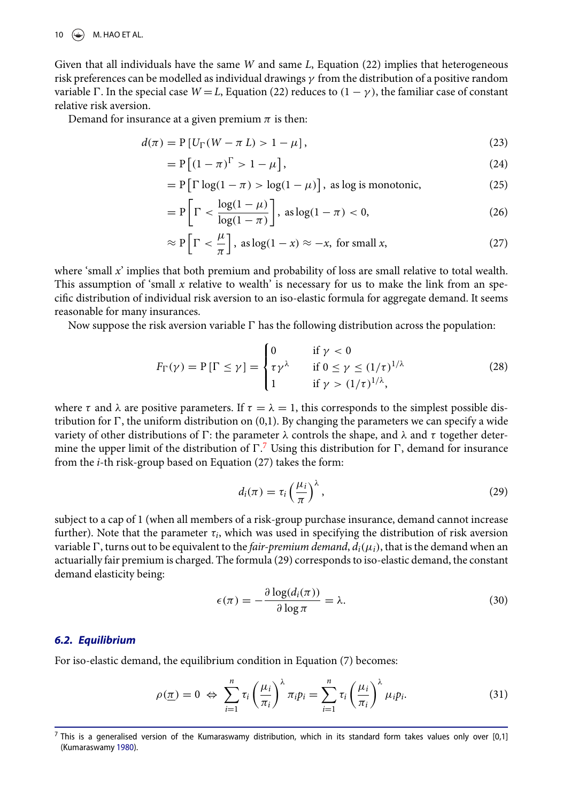10  $\left(\frac{1}{2}\right)$  M. HAO ET AL.

Given that all individuals have the same  $W$  and same  $L$ , Equation (22) implies that heterogeneous risk preferences can be modelled as individual drawings  $\gamma$  from the distribution of a positive random variable  $\Gamma$ . In the special case  $W = L$ , Equation (22) reduces to  $(1 - \gamma)$ , the familiar case of constant relative risk aversion.

Demand for insurance at a given premium  $\pi$  is then:

$$
d(\pi) = P[U_{\Gamma}(W - \pi L) > 1 - \mu],
$$
\n(23)

$$
=P\left[\left(1-\pi\right)^{\Gamma}>1-\mu\right],\tag{24}
$$

$$
= P\left[\Gamma \log(1 - \pi) > \log(1 - \mu)\right], \text{ as log is monotonic},\tag{25}
$$

$$
=P\left[\Gamma < \frac{\log(1-\mu)}{\log(1-\pi)}\right],\,\text{as}\,\log(1-\pi) < 0,\tag{26}
$$

$$
\approx P\left[\Gamma < \frac{\mu}{\pi}\right], \text{ as } \log(1-x) \approx -x, \text{ for small } x,\tag{27}
$$

<span id="page-11-0"></span>where 'small  $x$ ' implies that both premium and probability of loss are small relative to total wealth. This assumption of 'small  $x$  relative to wealth' is necessary for us to make the link from an specific distribution of individual risk aversion to an iso-elastic formula for aggregate demand. It seems reasonable for many insurances.

Now suppose the risk aversion variable  $\Gamma$  has the following distribution across the population:

$$
F_{\Gamma}(\gamma) = P[\Gamma \le \gamma] = \begin{cases} 0 & \text{if } \gamma < 0 \\ \tau \gamma^{\lambda} & \text{if } 0 \le \gamma \le (1/\tau)^{1/\lambda} \\ 1 & \text{if } \gamma > (1/\tau)^{1/\lambda}, \end{cases} \tag{28}
$$

where τ and  $\lambda$  are positive parameters. If  $\tau = \lambda = 1$ , this corresponds to the simplest possible distribution for  $\Gamma$ , the uniform distribution on  $(0,1)$ . By changing the parameters we can specify a wide variety of other distributions of  $\Gamma$ : the parameter  $\lambda$  controls the shape, and  $\lambda$  and  $\tau$  together determine the upper limit of the distribution of  $\Gamma$ .<sup>[7](#page-10-0)</sup> Using this distribution for  $\Gamma$ , demand for insurance from the i-th risk-group based on Equation (27) takes the form:

$$
d_i(\pi) = \tau_i \left(\frac{\mu_i}{\pi}\right)^{\lambda},\tag{29}
$$

subject to a cap of 1 (when all members of a risk-group purchase insurance, demand cannot increase further). Note that the parameter  $\tau_i$ , which was used in specifying the distribution of risk aversion variable  $\Gamma$ , turns out to be equivalent to the *fair-premium demand*,  $d_i(\mu_i)$ , that is the demand when an actuarially fair premium is charged. The formula (29) corresponds to iso-elastic demand, the constant demand elasticity being:

$$
\epsilon(\pi) = -\frac{\partial \log(d_i(\pi))}{\partial \log \pi} = \lambda.
$$
\n(30)

#### **6.2. Equilibrium**

For iso-elastic demand, the equilibrium condition in Equation (7) becomes:

$$
\rho(\underline{\pi}) = 0 \Leftrightarrow \sum_{i=1}^{n} \tau_i \left(\frac{\mu_i}{\pi_i}\right)^{\lambda} \pi_i p_i = \sum_{i=1}^{n} \tau_i \left(\frac{\mu_i}{\pi_i}\right)^{\lambda} \mu_i p_i.
$$
 (31)

 $^7$  This is a generalised version of the Kumaraswamy distribution, which in its standard form takes values only over [0,1] (Kumaraswamy [1980\)](#page-14-20).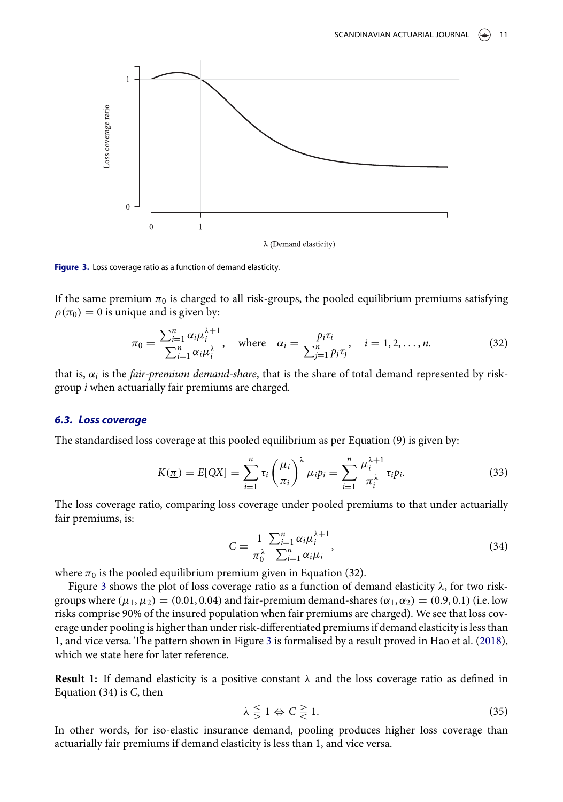

**Figure 3.** Loss coverage ratio as a function of demand elasticity.

If the same premium  $\pi_0$  is charged to all risk-groups, the pooled equilibrium premiums satisfying  $\rho(\pi_0) = 0$  is unique and is given by:

$$
\pi_0 = \frac{\sum_{i=1}^n \alpha_i \mu_i^{\lambda+1}}{\sum_{i=1}^n \alpha_i \mu_i^{\lambda}}, \quad \text{where} \quad \alpha_i = \frac{p_i \tau_i}{\sum_{j=1}^n p_j \tau_j}, \quad i = 1, 2, \dots, n. \tag{32}
$$

that is,  $\alpha_i$  is the *fair-premium demand-share*, that is the share of total demand represented by riskgroup i when actuarially fair premiums are charged.

#### **6.3. Loss coverage**

The standardised loss coverage at this pooled equilibrium as per Equation (9) is given by:

$$
K(\underline{\pi}) = E[QX] = \sum_{i=1}^{n} \tau_i \left(\frac{\mu_i}{\pi_i}\right)^{\lambda} \mu_i p_i = \sum_{i=1}^{n} \frac{\mu_i^{\lambda+1}}{\pi_i^{\lambda}} \tau_i p_i.
$$
 (33)

The loss coverage ratio, comparing loss coverage under pooled premiums to that under actuarially fair premiums, is:

$$
C = \frac{1}{\pi_0^{\lambda}} \frac{\sum_{i=1}^n \alpha_i \mu_i^{\lambda+1}}{\sum_{i=1}^n \alpha_i \mu_i},
$$
\n(34)

where  $\pi_0$  is the pooled equilibrium premium given in Equation (32).

Figure [3](#page-11-0) shows the plot of loss coverage ratio as a function of demand elasticity  $\lambda$ , for two riskgroups where  $(\mu_1, \mu_2) = (0.01, 0.04)$  and fair-premium demand-shares  $(\alpha_1, \alpha_2) = (0.9, 0.1)$  (i.e. low risks comprise 90% of the insured population when fair premiums are charged). We see that loss coverage under pooling is higher than under risk-diferentiated premiums if demand elasticity is less than 1, and vice versa. The pattern shown in Figure [3](#page-11-0) is formalised by a result proved in Hao et al. [\(2018\)](#page-14-16), which we state here for later reference.

**Result 1:** If demand elasticity is a positive constant  $\lambda$  and the loss coverage ratio as defined in Equation (34) is C, then

$$
\lambda \leq 1 \Leftrightarrow C \geq 1. \tag{35}
$$

In other words, for iso-elastic insurance demand, pooling produces higher loss coverage than actuarially fair premiums if demand elasticity is less than 1, and vice versa.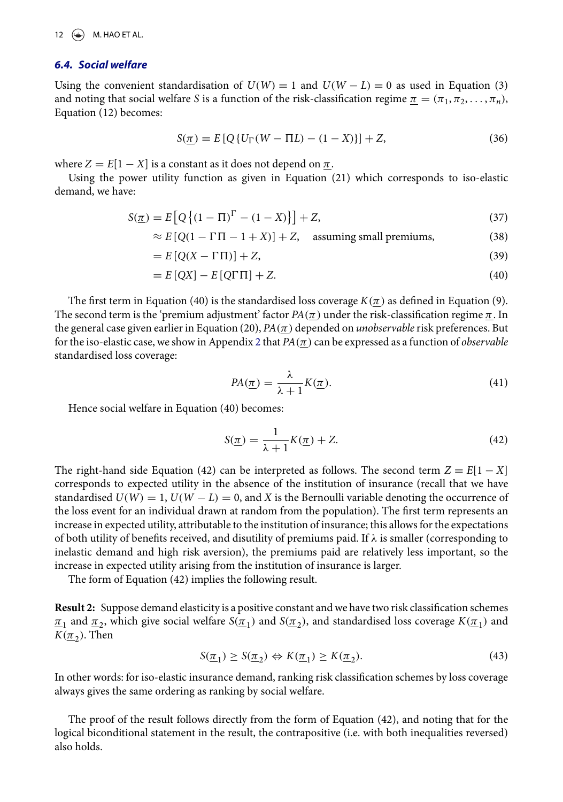#### **6.4. Social welfare**

Using the convenient standardisation of  $U(W) = 1$  and  $U(W - L) = 0$  as used in Equation (3) and noting that social welfare S is a function of the risk-classification regime  $\pi = (\pi_1, \pi_2, \dots, \pi_n)$ , Equation (12) becomes:

<span id="page-13-9"></span><span id="page-13-8"></span><span id="page-13-7"></span><span id="page-13-6"></span><span id="page-13-5"></span><span id="page-13-4"></span><span id="page-13-3"></span><span id="page-13-2"></span><span id="page-13-1"></span>
$$
S(\underline{\pi}) = E [Q \{ U_{\Gamma}(W - \Pi L) - (1 - X) \}] + Z, \tag{36}
$$

where  $Z = E[1 - X]$  is a constant as it does not depend on  $\pi$ .

Using the power utility function as given in Equation (21) which corresponds to iso-elastic demand, we have:

$$
S(\underline{\pi}) = E\left[Q\left\{(1 - \Pi)^{\Gamma} - (1 - X)\right\}\right] + Z,\tag{37}
$$

$$
\approx E\left[Q(1 - \Gamma\Pi - 1 + X)\right] + Z, \quad \text{assuming small premiums,} \tag{38}
$$

$$
= E\left[Q(X - \Gamma \Pi)\right] + Z,\tag{39}
$$

$$
= E[QX] - E[Q\Gamma\Pi] + Z.
$$
\n<sup>(40)</sup>

The first term in Equation (40) is the standardised loss coverage  $K(\pi)$  as defined in Equation (9). The second term is the 'premium adjustment' factor  $PA(\pi)$  under the risk-classification regime  $\pi$ . In the general case given earlier in Equation (20),  $PA(\pi)$  depended on *unobservable* risk preferences. But for the iso-elastic case, we show in Appendix [2](#page-15-1) that  $PA(\pi)$  can be expressed as a function of *observable* standardised loss coverage:

$$
PA(\underline{\pi}) = \frac{\lambda}{\lambda + 1} K(\underline{\pi}).
$$
\n(41)

Hence social welfare in Equation (40) becomes:

$$
S(\underline{\pi}) = \frac{1}{\lambda + 1} K(\underline{\pi}) + Z.
$$
\n(42)

<span id="page-13-0"></span>The right-hand side Equation (42) can be interpreted as follows. The second term  $Z = E[1 - X]$ corresponds to expected utility in the absence of the institution of insurance (recall that we have standardised  $U(W) = 1$ ,  $U(W - L) = 0$ , and X is the Bernoulli variable denoting the occurrence of the loss event for an individual drawn at random from the population). The irst term represents an increase in expected utility, attributable to the institution of insurance; this allows for the expectations of both utility of benefits received, and disutility of premiums paid. If  $\lambda$  is smaller (corresponding to inelastic demand and high risk aversion), the premiums paid are relatively less important, so the increase in expected utility arising from the institution of insurance is larger.

The form of Equation (42) implies the following result.

Result 2: Suppose demand elasticity is a positive constant and we have two risk classification schemes  $\pi_1$  and  $\pi_2$ , which give social welfare  $S(\pi_1)$  and  $S(\pi_2)$ , and standardised loss coverage  $K(\pi_1)$  and  $K(\underline{\pi}_2)$ . Then

$$
S(\underline{\pi}_1) \ge S(\underline{\pi}_2) \Leftrightarrow K(\underline{\pi}_1) \ge K(\underline{\pi}_2). \tag{43}
$$

In other words: for iso-elastic insurance demand, ranking risk classification schemes by loss coverage always gives the same ordering as ranking by social welfare.

The proof of the result follows directly from the form of Equation (42), and noting that for the logical biconditional statement in the result, the contrapositive (i.e. with both inequalities reversed) also holds.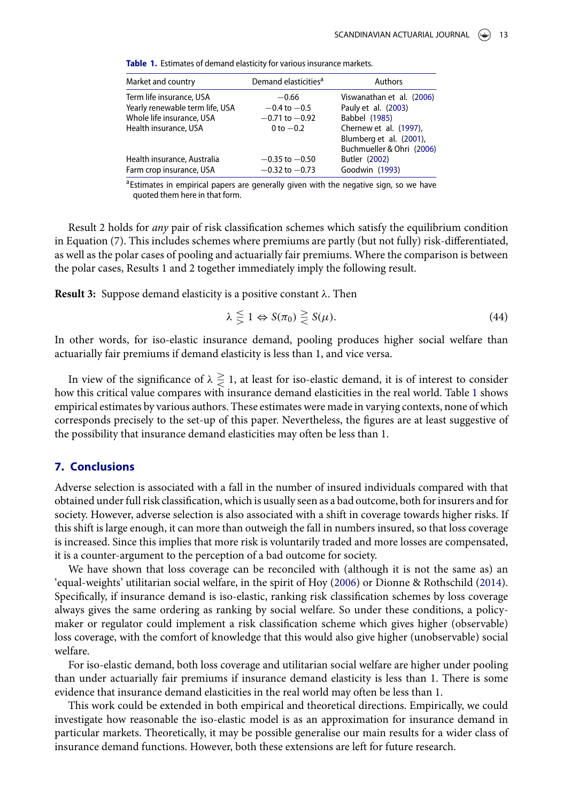| Demand elasticities <sup>a</sup> | Authors                                           |
|----------------------------------|---------------------------------------------------|
| $-0.66$                          | Viswanathan et al. (2006)                         |
| $-0.4$ to $-0.5$                 | Pauly et al. (2003)                               |
| $-0.71$ to $-0.92$               | Babbel (1985)                                     |
| 0 to $-0.2$                      | Chernew et al. (1997),<br>Blumberg et al. (2001), |
|                                  | Buchmueller & Ohri (2006)                         |
| $-0.35$ to $-0.50$               | Butler (2002)                                     |
| $-0.32$ to $-0.73$               | Goodwin (1993)                                    |
|                                  |                                                   |

**Table 1.** Estimates of demand elasticity for various insurance markets.

<sup>a</sup>Estimates in empirical papers are generally given with the negative sign, so we have quoted them here in that form.

<span id="page-14-14"></span><span id="page-14-4"></span>Result 2 holds for *any* pair of risk classification schemes which satisfy the equilibrium condition in Equation (7). This includes schemes where premiums are partly (but not fully) risk-diferentiated, as well as the polar cases of pooling and actuarially fair premiums. Where the comparison is between the polar cases, Results 1 and 2 together immediately imply the following result.

<span id="page-14-25"></span><span id="page-14-24"></span><span id="page-14-22"></span><span id="page-14-19"></span>**Result 3:** Suppose demand elasticity is a positive constant λ. Then

$$
\lambda \leq 1 \Leftrightarrow S(\pi_0) \geq S(\mu). \tag{44}
$$

<span id="page-14-26"></span><span id="page-14-8"></span>In other words, for iso-elastic insurance demand, pooling produces higher social welfare than actuarially fair premiums if demand elasticity is less than 1, and vice versa.

<span id="page-14-23"></span><span id="page-14-0"></span>In view of the significance of  $\lambda \geq 1$ , at least for iso-elastic demand, it is of interest to consider how this critical value compares with insurance demand elasticities in the real world. Table [1](#page-13-1) shows empirical estimates by various authors. These estimates were made in varying contexts, none of which corresponds precisely to the set-up of this paper. Nevertheless, the igures are at least suggestive of the possibility that insurance demand elasticities may often be less than 1.

#### <span id="page-14-27"></span><span id="page-14-15"></span><span id="page-14-10"></span>**7. Conclusions**

<span id="page-14-16"></span><span id="page-14-9"></span><span id="page-14-6"></span>Adverse selection is associated with a fall in the number of insured individuals compared with that obtained under full risk classiication, which is usually seen as a bad outcome, both for insurers and for society. However, adverse selection is also associated with a shift in coverage towards higher risks. If this shift is large enough, it can more than outweigh the fall in numbers insured, so that loss coverage is increased. Since this implies that more risk is voluntarily traded and more losses are compensated, it is a counter-argument to the perception of a bad outcome for society.

<span id="page-14-20"></span><span id="page-14-18"></span><span id="page-14-17"></span><span id="page-14-13"></span><span id="page-14-2"></span>We have shown that loss coverage can be reconciled with (although it is not the same as) an 'equal-weights' utilitarian social welfare, in the spirit of Hoy [\(2006\)](#page-14-2) or Dionne & Rothschild [\(2014\)](#page-14-0). Specifically, if insurance demand is iso-elastic, ranking risk classification schemes by loss coverage always gives the same ordering as ranking by social welfare. So under these conditions, a policymaker or regulator could implement a risk classification scheme which gives higher (observable) loss coverage, with the comfort of knowledge that this would also give higher (unobservable) social welfare.

<span id="page-14-21"></span><span id="page-14-12"></span><span id="page-14-11"></span><span id="page-14-3"></span>For iso-elastic demand, both loss coverage and utilitarian social welfare are higher under pooling than under actuarially fair premiums if insurance demand elasticity is less than 1. There is some evidence that insurance demand elasticities in the real world may often be less than 1.

<span id="page-14-7"></span><span id="page-14-5"></span><span id="page-14-1"></span>This work could be extended in both empirical and theoretical directions. Empirically, we could investigate how reasonable the iso-elastic model is as an approximation for insurance demand in particular markets. Theoretically, it may be possible generalise our main results for a wider class of insurance demand functions. However, both these extensions are left for future research.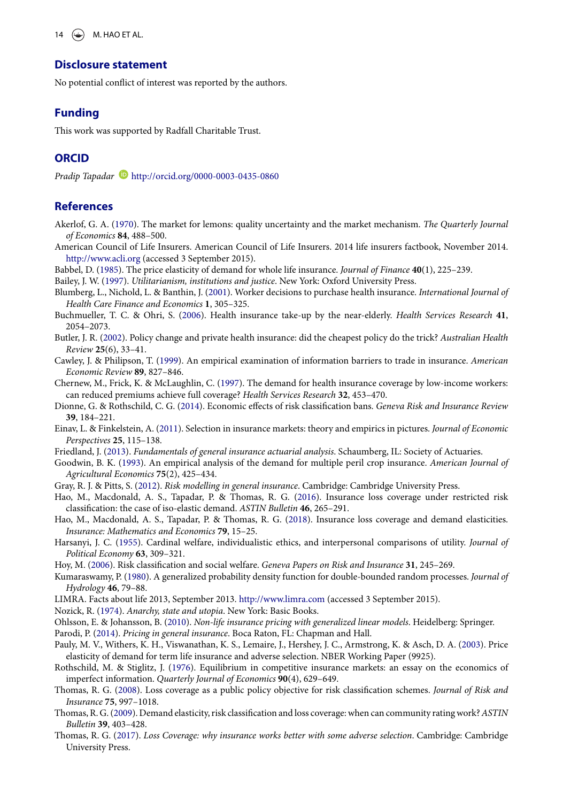#### <span id="page-15-2"></span>**Disclosure statement**

No potential conflict of interest was reported by the authors.

#### **Funding**

This work was supported by Radfall Charitable Trust.

#### <span id="page-15-0"></span>**ORCID**

Pradip Tapadar <http://orcid.org/0000-0003-0435-0860>

#### **References**

- Akerlof, G. A. [\(1970\)](#page-4-3). The market for lemons: quality uncertainty and the market mechanism. The Quarterly Journal of Economics **84**, 488–500.
- American Council of Life Insurers. American Council of Life Insurers. 2014 life insurers factbook, November 2014. <http://www.acli.org> (accessed 3 September 2015).

Babbel, D. [\(1985\)](#page-13-2). The price elasticity of demand for whole life insurance. Journal of Finance **40**(1), 225–239.

Bailey, J. W. [\(1997\)](#page-8-1). Utilitarianism, institutions and justice. New York: Oxford University Press.

- Blumberg, L., Nichold, L. & Banthin, J. [\(2001\)](#page-13-3). Worker decisions to purchase health insurance. International Journal of Health Care Finance and Economics **1**, 305–325.
- Buchmueller, T. C. & Ohri, S. [\(2006\)](#page-13-4). Health insurance take-up by the near-elderly. Health Services Research **41**, 2054–2073.
- Butler, J. R. [\(2002\)](#page-13-5). Policy change and private health insurance: did the cheapest policy do the trick? Australian Health Review **25**(6), 33–41.
- Cawley, J. & Philipson, T. [\(1999\)](#page-4-4). An empirical examination of information barriers to trade in insurance. American Economic Review **89**, 827–846.
- Chernew, M., Frick, K. & McLaughlin, C. [\(1997\)](#page-13-6). The demand for health insurance coverage by low-income workers: can reduced premiums achieve full coverage? Health Services Research **32**, 453–470.
- Dionne, G. & Rothschild, C. G. [\(2014\)](#page-1-2). Economic effects of risk classification bans. Geneva Risk and Insurance Review **39**, 184–221.
- Einav, L. & Finkelstein, A. [\(2011\)](#page-5-2). Selection in insurance markets: theory and empirics in pictures. Journal of Economic Perspectives **25**, 115–138.
- Friedland, J. [\(2013\)](#page-4-5). Fundamentals of general insurance actuarial analysis. Schaumberg, IL: Society of Actuaries.
- Goodwin, B. K. [\(1993\)](#page-13-7). An empirical analysis of the demand for multiple peril crop insurance. American Journal of Agricultural Economics **75**(2), 425–434.
- Gray, R. J. & Pitts, S. [\(2012\)](#page-4-6). Risk modelling in general insurance. Cambridge: Cambridge University Press.
- <span id="page-15-1"></span>Hao, M., Macdonald, A. S., Tapadar, P. & Thomas, R. G. [\(2016\)](#page-4-7). Insurance loss coverage under restricted risk classiication: the case of iso-elastic demand. ASTIN Bulletin **46**, 265–291.
- Hao, M., Macdonald, A. S., Tapadar, P. & Thomas, R. G. [\(2018\)](#page-5-3). Insurance loss coverage and demand elasticities. Insurance: Mathematics and Economics **79**, 15–25.
- Harsanyi, J. C. [\(1955\)](#page-8-2). Cardinal welfare, individualistic ethics, and interpersonal comparisons of utility. Journal of Political Economy **63**, 309–321.

Hoy, M. [\(2006\)](#page-4-8). Risk classiication and social welfare. Geneva Papers on Risk and Insurance **31**, 245–269.

- Kumaraswamy, P. [\(1980\)](#page-10-1). A generalized probability density function for double-bounded random processes. Journal of Hydrology **46**, 79–88.
- LIMRA. Facts about life 2013, September 2013. <http://www.limra.com> (accessed 3 September 2015).
- Nozick, R. [\(1974\)](#page-8-3). Anarchy, state and utopia. New York: Basic Books.

Ohlsson, E. & Johansson, B. [\(2010\)](#page-4-9). Non-life insurance pricing with generalized linear models. Heidelberg: Springer.

- Parodi, P. [\(2014\)](#page-4-10). Pricing in general insurance. Boca Raton, FL: Chapman and Hall.
- Pauly, M. V., Withers, K. H., Viswanathan, K. S., Lemaire, J., Hershey, J. C., Armstrong, K. & Asch, D. A. [\(2003\)](#page-13-8). Price elasticity of demand for term life insurance and adverse selection. NBER Working Paper (9925).
- Rothschild, M. & Stiglitz, J. [\(1976\)](#page-4-11). Equilibrium in competitive insurance markets: an essay on the economics of imperfect information. Quarterly Journal of Economics **90**(4), 629–649.
- Thomas, R. G. [\(2008\)](#page-1-3). Loss coverage as a public policy objective for risk classification schemes. Journal of Risk and Insurance **75**, 997–1018.
- Thomas, R. G. [\(2009\)](#page-4-12). Demand elasticity, risk classiication and loss coverage: when can community rating work?ASTIN Bulletin **39**, 403–428.
- Thomas, R. G. [\(2017\)](#page-4-13). Loss Coverage: why insurance works better with some adverse selection. Cambridge: Cambridge University Press.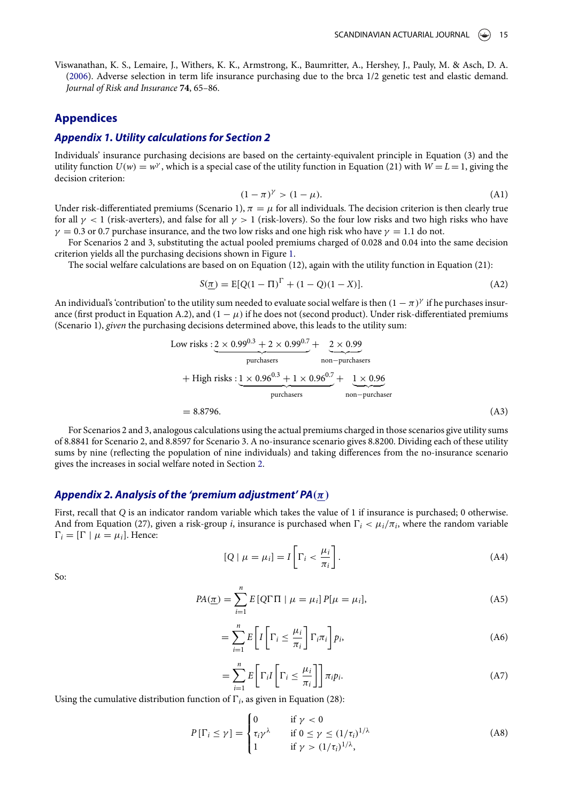Viswanathan, K. S., Lemaire, J., Withers, K. K., Armstrong, K., Baumritter, A., Hershey, J., Pauly, M. & Asch, D. A. [\(2006\)](#page-13-9). Adverse selection in term life insurance purchasing due to the brca 1/2 genetic test and elastic demand. Journal of Risk and Insurance **74**, 65–86.

#### **Appendices**

#### **Appendix 1. Utility calculations for Section 2**

Individuals' insurance purchasing decisions are based on the certainty-equivalent principle in Equation (3) and the utility function  $U(w) = w^{\gamma}$ , which is a special case of the utility function in Equation (21) with  $W = L = 1$ , giving the decision criterion:

$$
(1 - \pi)^{\gamma} > (1 - \mu). \tag{A1}
$$

Under risk-differentiated premiums (Scenario 1),  $\pi = \mu$  for all individuals. The decision criterion is then clearly true for all  $\gamma$  < 1 (risk-averters), and false for all  $\gamma > 1$  (risk-lovers). So the four low risks and two high risks who have  $\gamma = 0.3$  or 0.7 purchase insurance, and the two low risks and one high risk who have  $\gamma = 1.1$  do not.

For Scenarios 2 and 3, substituting the actual pooled premiums charged of 0.028 and 0.04 into the same decision criterion yields all the purchasing decisions shown in Figure [1.](#page-3-0)

The social welfare calculations are based on on Equation (12), again with the utility function in Equation (21):

$$
S(\underline{\pi}) = E[Q(1 - \Pi)^{\Gamma} + (1 - Q)(1 - X)].
$$
 (A2)

An individual's 'contribution' to the utility sum needed to evaluate social welfare is then  $(1 - \pi)^\gamma$  if he purchases insurance (first product in Equation A.2), and  $(1 - \mu)$  if he does not (second product). Under risk-differentiated premiums (Scenario 1), given the purchasing decisions determined above, this leads to the utility sum:

Low risks : 
$$
2 \times 0.99^{0.3} + 2 \times 0.99^{0.7} + 2 \times 0.99
$$
  
\nputrases  
\n+ High risks :  $1 \times 0.96^{0.3} + 1 \times 0.96^{0.7} + 1 \times 0.96$   
\nputrases  
\n= 8.8796. (A3)

For Scenarios 2 and 3, analogous calculations using the actual premiums charged in those scenarios give utility sums of 8.8841 for Scenario 2, and 8.8597 for Scenario 3. A no-insurance scenario gives 8.8200. Dividing each of these utility sums by nine (relecting the population of nine individuals) and taking diferences from the no-insurance scenario gives the increases in social welfare noted in Section [2.](#page-2-0)

#### **Appendix 2. Analysis of the 'premium adjustment' PA**(π)

First, recall that Q is an indicator random variable which takes the value of 1 if insurance is purchased; 0 otherwise. And from Equation (27), given a risk-group i, insurance is purchased when  $\Gamma_i < \mu_i/\pi_i$ , where the random variable  $\Gamma_i = [\Gamma | \mu = \mu_i]$ . Hence:

$$
[Q \mid \mu = \mu_i] = I \left[ \Gamma_i < \frac{\mu_i}{\pi_i} \right]. \tag{A4}
$$

So:

$$
PA(\underline{\pi}) = \sum_{i=1}^{n} E\left[Q\Gamma\Pi \mid \mu = \mu_i\right] P[\mu = \mu_i],
$$
\n(A5)

$$
= \sum_{i=1}^{n} E\left[I\left[\Gamma_i \le \frac{\mu_i}{\pi_i}\right] \Gamma_i \pi_i\right] p_i,
$$
 (A6)

$$
= \sum_{i=1}^{n} E\left[\Gamma_i I\left[\Gamma_i \le \frac{\mu_i}{\pi_i}\right]\right] \pi_i p_i. \tag{A7}
$$

Using the cumulative distribution function of  $\Gamma_i$ , as given in Equation (28):

$$
P[\Gamma_i \le \gamma] = \begin{cases} 0 & \text{if } \gamma < 0 \\ \tau_i \gamma^{\lambda} & \text{if } 0 \le \gamma \le (1/\tau_i)^{1/\lambda} \\ 1 & \text{if } \gamma > (1/\tau_i)^{1/\lambda}, \end{cases}
$$
 (A8)